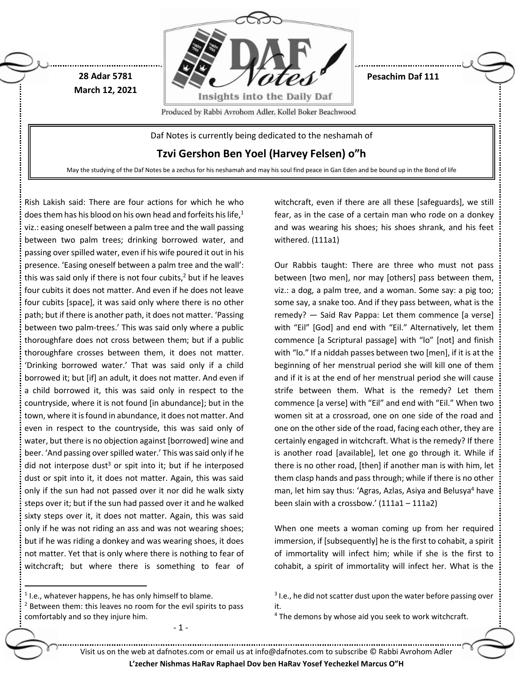

May the studying of the Daf Notes be a zechus for his neshamah and may his soul find peace in Gan Eden and be bound up in the Bond of life

Rish Lakish said: There are four actions for which he who does them has his blood on his own head and forfeits his life, $1$ viz.: easing oneself between a palm tree and the wall passing between two palm trees; drinking borrowed water, and passing over spilled water, even if his wife poured it out in his presence. 'Easing oneself between a palm tree and the wall': this was said only if there is not four cubits, $<sup>2</sup>$  but if he leaves</sup> four cubits it does not matter. And even if he does not leave four cubits [space], it was said only where there is no other path; but if there is another path, it does not matter. 'Passing between two palm-trees.' This was said only where a public thoroughfare does not cross between them; but if a public thoroughfare crosses between them, it does not matter. 'Drinking borrowed water.' That was said only if a child borrowed it; but [if] an adult, it does not matter. And even if a child borrowed it, this was said only in respect to the countryside, where it is not found [in abundance]; but in the town, where it is found in abundance, it does not matter. And even in respect to the countryside, this was said only of water, but there is no objection against [borrowed] wine and beer. 'And passing over spilled water.' This was said only if he did not interpose dust<sup>3</sup> or spit into it; but if he interposed dust or spit into it, it does not matter. Again, this was said only if the sun had not passed over it nor did he walk sixty steps over it; but if the sun had passed over it and he walked sixty steps over it, it does not matter. Again, this was said only if he was not riding an ass and was not wearing shoes; but if he was riding a donkey and was wearing shoes, it does not matter. Yet that is only where there is nothing to fear of witchcraft; but where there is something to fear of

 $<sup>1</sup>$  I.e., whatever happens, he has only himself to blame.</sup>

 $\overline{a}$ 

 $2$  Between them: this leaves no room for the evil spirits to pass comfortably and so they injure him.

- 1 -

witchcraft, even if there are all these [safeguards], we still fear, as in the case of a certain man who rode on a donkey and was wearing his shoes; his shoes shrank, and his feet withered. (111a1)

Our Rabbis taught: There are three who must not pass between [two men], nor may [others] pass between them, viz.: a dog, a palm tree, and a woman. Some say: a pig too; some say, a snake too. And if they pass between, what is the remedy? — Said Rav Pappa: Let them commence [a verse] with "Eil" [God] and end with "Eil." Alternatively, let them commence [a Scriptural passage] with "lo" [not] and finish with "lo." If a niddah passes between two [men], if it is at the beginning of her menstrual period she will kill one of them and if it is at the end of her menstrual period she will cause strife between them. What is the remedy? Let them commence [a verse] with "Eil" and end with "Eil." When two women sit at a crossroad, one on one side of the road and one on the other side of the road, facing each other, they are certainly engaged in witchcraft. What is the remedy? If there is another road [available], let one go through it. While if there is no other road, [then] if another man is with him, let them clasp hands and pass through; while if there is no other man, let him say thus: 'Agras, Azlas, Asiya and Belusya<sup>4</sup> have been slain with a crossbow.' (111a1 – 111a2)

When one meets a woman coming up from her required immersion, if [subsequently] he is the first to cohabit, a spirit of immortality will infect him; while if she is the first to cohabit, a spirit of immortality will infect her. What is the

Visit us on the web at dafnotes.com or email us at [info@dafnotes.com](mailto:info@dafnotes.com) to subscribe © Rabbi Avrohom Adler

**L'zecher Nishmas HaRav Raphael Dov ben HaRav Yosef Yechezkel Marcus O"H**

 $3$  I.e., he did not scatter dust upon the water before passing over it.

<sup>&</sup>lt;sup>4</sup> The demons by whose aid you seek to work witchcraft.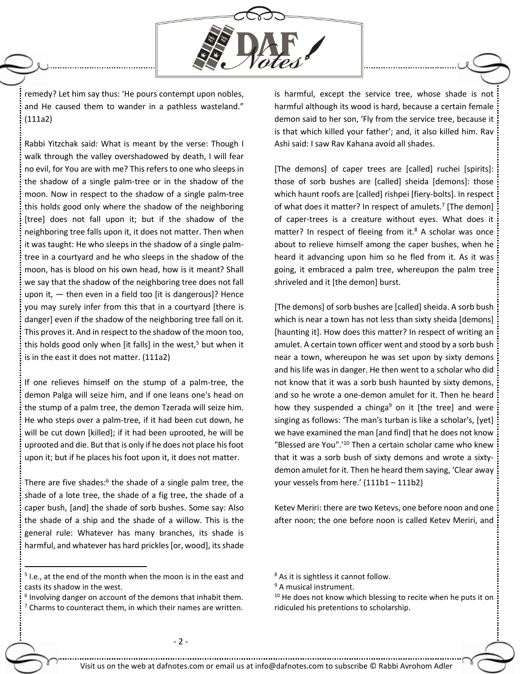

remedy? Let him say thus: 'He pours contempt upon nobles, and He caused them to wander in a pathless wasteland." (111a2)

Rabbi Yitzchak said: What is meant by the verse: Though I walk through the valley overshadowed by death, I will fear no evil, for You are with me? This refers to one who sleeps in the shadow of a single palm-tree or in the shadow of the moon. Now in respect to the shadow of a single palm-tree this holds good only where the shadow of the neighboring [tree] does not fall upon it; but if the shadow of the neighboring tree falls upon it, it does not matter. Then when it was taught: He who sleeps in the shadow of a single palmtree in a courtyard and he who sleeps in the shadow of the moon, has is blood on his own head, how is it meant? Shall we say that the shadow of the neighboring tree does not fall upon it,  $-$  then even in a field too [it is dangerous]? Hence you may surely infer from this that in a courtyard [there is danger] even if the shadow of the neighboring tree fall on it. This proves it. And in respect to the shadow of the moon too, this holds good only when [it falls] in the west, $5$  but when it is in the east it does not matter. (111a2)

If one relieves himself on the stump of a palm-tree, the demon Palga will seize him, and if one leans one's head on the stump of a palm tree, the demon Tzerada will seize him. He who steps over a palm-tree, if it had been cut down, he will be cut down [killed]; if it had been uprooted, he will be uprooted and die. But that is only if he does not place his foot upon it; but if he places his foot upon it, it does not matter.

There are five shades:<sup>6</sup> the shade of a single palm tree, the shade of a lote tree, the shade of a fig tree, the shade of a caper bush, [and] the shade of sorb bushes. Some say: Also the shade of a ship and the shade of a willow. This is the general rule: Whatever has many branches, its shade is harmful, and whatever has hard prickles [or, wood], its shade

5 I.e., at the end of the month when the moon is in the east and casts its shadow in the west.

 $\overline{a}$ 

 $6$  Involving danger on account of the demons that inhabit them.

 $7$  Charms to counteract them, in which their names are written.

is harmful, except the service tree, whose shade is not harmful although its wood is hard, because a certain female demon said to her son, 'Fly from the service tree, because it is that which killed your father'; and, it also killed him. Rav Ashi said: I saw Rav Kahana avoid all shades.

[The demons] of caper trees are [called] ruchei [spirits]: those of sorb bushes are [called] sheida [demons]: those which haunt roofs are [called] rishpei [fiery-bolts]. In respect of what does it matter? In respect of amulets.<sup>7</sup> [The demon] of caper-trees is a creature without eyes. What does it matter? In respect of fleeing from it. $8$  A scholar was once about to relieve himself among the caper bushes, when he heard it advancing upon him so he fled from it. As it was going, it embraced a palm tree, whereupon the palm tree shriveled and it [the demon] burst.

[The demons] of sorb bushes are [called] sheida. A sorb bush which is near a town has not less than sixty sheida [demons] [haunting it]. How does this matter? In respect of writing an amulet. A certain town officer went and stood by a sorb bush near a town, whereupon he was set upon by sixty demons and his life was in danger. He then went to a scholar who did not know that it was a sorb bush haunted by sixty demons, and so he wrote a one-demon amulet for it. Then he heard how they suspended a chinga<sup>9</sup> on it [the tree] and were singing as follows: 'The man's turban is like a scholar's, [yet] we have examined the man [and find] that he does not know "Blessed are You".'<sup>10</sup> Then a certain scholar came who knew that it was a sorb bush of sixty demons and wrote a sixtydemon amulet for it. Then he heard them saying, 'Clear away your vessels from here.' (111b1 – 111b2)

Ketev Meriri: there are two Ketevs, one before noon and one after noon; the one before noon is called Ketev Meriri, and

<sup>9</sup> A musical instrument.

 $10$  He does not know which blessing to recite when he puts it on ridiculed his pretentions to scholarship.

<sup>&</sup>lt;sup>8</sup> As it is sightless it cannot follow.